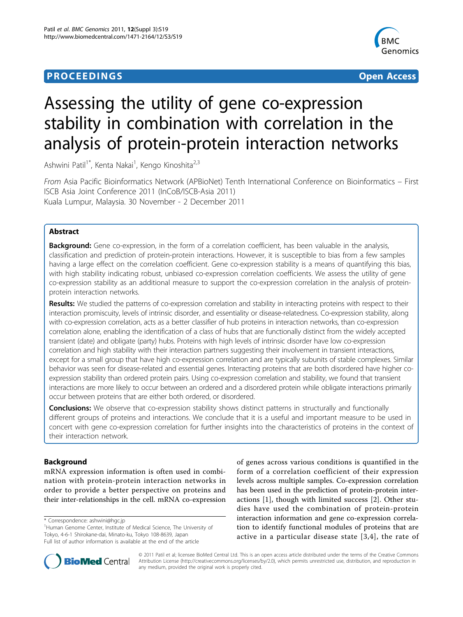## **PROCEEDINGS CONSUMING S** Open Access **CONSUMING S**



# Assessing the utility of gene co-expression stability in combination with correlation in the analysis of protein-protein interaction networks

Ashwini Patil<sup>1\*</sup>, Kenta Nakai<sup>1</sup>, Kengo Kinoshita<sup>2,3</sup>

From Asia Pacific Bioinformatics Network (APBioNet) Tenth International Conference on Bioinformatics – First ISCB Asia Joint Conference 2011 (InCoB/ISCB-Asia 2011) Kuala Lumpur, Malaysia. 30 November - 2 December 2011

## Abstract

Background: Gene co-expression, in the form of a correlation coefficient, has been valuable in the analysis, classification and prediction of protein-protein interactions. However, it is susceptible to bias from a few samples having a large effect on the correlation coefficient. Gene co-expression stability is a means of quantifying this bias, with high stability indicating robust, unbiased co-expression correlation coefficients. We assess the utility of gene co-expression stability as an additional measure to support the co-expression correlation in the analysis of proteinprotein interaction networks.

Results: We studied the patterns of co-expression correlation and stability in interacting proteins with respect to their interaction promiscuity, levels of intrinsic disorder, and essentiality or disease-relatedness. Co-expression stability, along with co-expression correlation, acts as a better classifier of hub proteins in interaction networks, than co-expression correlation alone, enabling the identification of a class of hubs that are functionally distinct from the widely accepted transient (date) and obligate (party) hubs. Proteins with high levels of intrinsic disorder have low co-expression correlation and high stability with their interaction partners suggesting their involvement in transient interactions, except for a small group that have high co-expression correlation and are typically subunits of stable complexes. Similar behavior was seen for disease-related and essential genes. Interacting proteins that are both disordered have higher coexpression stability than ordered protein pairs. Using co-expression correlation and stability, we found that transient interactions are more likely to occur between an ordered and a disordered protein while obligate interactions primarily occur between proteins that are either both ordered, or disordered.

**Conclusions:** We observe that co-expression stability shows distinct patterns in structurally and functionally different groups of proteins and interactions. We conclude that it is a useful and important measure to be used in concert with gene co-expression correlation for further insights into the characteristics of proteins in the context of their interaction network.

## Background

mRNA expression information is often used in combination with protein-protein interaction networks in order to provide a better perspective on proteins and their inter-relationships in the cell. mRNA co-expression

of genes across various conditions is quantified in the form of a correlation coefficient of their expression levels across multiple samples. Co-expression correlation has been used in the prediction of protein-protein interactions [[1](#page-9-0)], though with limited success [\[2](#page-10-0)]. Other studies have used the combination of protein-protein interaction information and gene co-expression correlation to identify functional modules of proteins that are active in a particular disease state [[3](#page-10-0),[4\]](#page-10-0), the rate of



© 2011 Patil et al; licensee BioMed Central Ltd. This is an open access article distributed under the terms of the Creative Commons Attribution License [\(http://creativecommons.org/licenses/by/2.0](http://creativecommons.org/licenses/by/2.0)), which permits unrestricted use, distribution, and reproduction in any medium, provided the original work is properly cited.

<sup>\*</sup> Correspondence: [ashwini@hgc.jp](mailto:ashwini@hgc.jp)

<sup>&</sup>lt;sup>1</sup>Human Genome Center, Institute of Medical Science, The University of Tokyo, 4-6-1 Shirokane-dai, Minato-ku, Tokyo 108-8639, Japan Full list of author information is available at the end of the article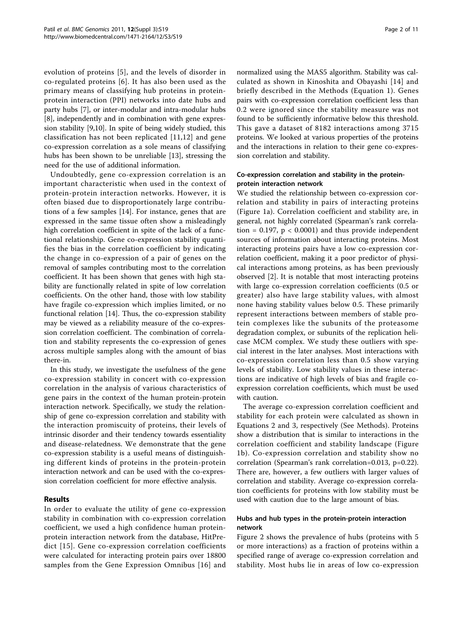evolution of proteins [[5](#page-10-0)], and the levels of disorder in co-regulated proteins [[6\]](#page-10-0). It has also been used as the primary means of classifying hub proteins in proteinprotein interaction (PPI) networks into date hubs and party hubs [[7\]](#page-10-0), or inter-modular and intra-modular hubs [[8\]](#page-10-0), independently and in combination with gene expression stability [[9,10\]](#page-10-0). In spite of being widely studied, this classification has not been replicated [\[11,12](#page-10-0)] and gene co-expression correlation as a sole means of classifying hubs has been shown to be unreliable [\[13](#page-10-0)], stressing the need for the use of additional information.

Undoubtedly, gene co-expression correlation is an important characteristic when used in the context of protein-protein interaction networks. However, it is often biased due to disproportionately large contributions of a few samples [\[14](#page-10-0)]. For instance, genes that are expressed in the same tissue often show a misleadingly high correlation coefficient in spite of the lack of a functional relationship. Gene co-expression stability quantifies the bias in the correlation coefficient by indicating the change in co-expression of a pair of genes on the removal of samples contributing most to the correlation coefficient. It has been shown that genes with high stability are functionally related in spite of low correlation coefficients. On the other hand, those with low stability have fragile co-expression which implies limited, or no functional relation [[14\]](#page-10-0). Thus, the co-expression stability may be viewed as a reliability measure of the co-expression correlation coefficient. The combination of correlation and stability represents the co-expression of genes across multiple samples along with the amount of bias there-in.

In this study, we investigate the usefulness of the gene co-expression stability in concert with co-expression correlation in the analysis of various characteristics of gene pairs in the context of the human protein-protein interaction network. Specifically, we study the relationship of gene co-expression correlation and stability with the interaction promiscuity of proteins, their levels of intrinsic disorder and their tendency towards essentiality and disease-relatedness. We demonstrate that the gene co-expression stability is a useful means of distinguishing different kinds of proteins in the protein-protein interaction network and can be used with the co-expression correlation coefficient for more effective analysis.

## Results

In order to evaluate the utility of gene co-expression stability in combination with co-expression correlation coefficient, we used a high confidence human proteinprotein interaction network from the database, HitPredict [[15\]](#page-10-0). Gene co-expression correlation coefficients were calculated for interacting protein pairs over 18800 samples from the Gene Expression Omnibus [[16](#page-10-0)] and normalized using the MAS5 algorithm. Stability was calculated as shown in Kinoshita and Obayashi [[14](#page-10-0)] and briefly described in the Methods (Equation 1). Genes pairs with co-expression correlation coefficient less than 0.2 were ignored since the stability measure was not found to be sufficiently informative below this threshold. This gave a dataset of 8182 interactions among 3715 proteins. We looked at various properties of the proteins and the interactions in relation to their gene co-expression correlation and stability.

## Co-expression correlation and stability in the proteinprotein interaction network

We studied the relationship between co-expression correlation and stability in pairs of interacting proteins (Figure [1a\)](#page-2-0). Correlation coefficient and stability are, in general, not highly correlated (Spearman's rank correlation =  $0.197$ ,  $p < 0.0001$ ) and thus provide independent sources of information about interacting proteins. Most interacting proteins pairs have a low co-expression correlation coefficient, making it a poor predictor of physical interactions among proteins, as has been previously observed [[2\]](#page-10-0). It is notable that most interacting proteins with large co-expression correlation coefficients (0.5 or greater) also have large stability values, with almost none having stability values below 0.5. These primarily represent interactions between members of stable protein complexes like the subunits of the proteasome degradation complex, or subunits of the replication helicase MCM complex. We study these outliers with special interest in the later analyses. Most interactions with co-expression correlation less than 0.5 show varying levels of stability. Low stability values in these interactions are indicative of high levels of bias and fragile coexpression correlation coefficients, which must be used with caution.

The average co-expression correlation coefficient and stability for each protein were calculated as shown in Equations 2 and 3, respectively (See Methods). Proteins show a distribution that is similar to interactions in the correlation coefficient and stability landscape (Figure [1b](#page-2-0)). Co-expression correlation and stability show no correlation (Spearman's rank correlation=0.013, p=0.22). There are, however, a few outliers with larger values of correlation and stability. Average co-expression correlation coefficients for proteins with low stability must be used with caution due to the large amount of bias.

## Hubs and hub types in the protein-protein interaction network

Figure [2](#page-2-0) shows the prevalence of hubs (proteins with 5 or more interactions) as a fraction of proteins within a specified range of average co-expression correlation and stability. Most hubs lie in areas of low co-expression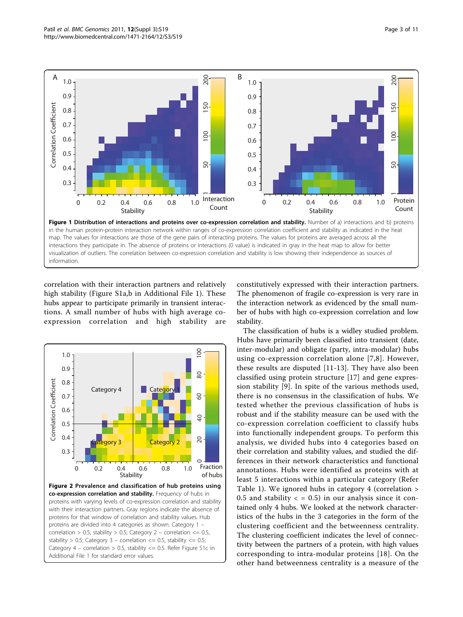<span id="page-2-0"></span>

correlation with their interaction partners and relatively high stability (Figure S1a,b in Additional File [1\)](#page-9-0). These hubs appear to participate primarily in transient interactions. A small number of hubs with high average coexpression correlation and high stability are



constitutively expressed with their interaction partners. The phenomenon of fragile co-expression is very rare in the interaction network as evidenced by the small number of hubs with high co-expression correlation and low stability.

The classification of hubs is a widley studied problem. Hubs have primarily been classified into transient (date, inter-modular) and obligate (party, intra-modular) hubs using co-expression correlation alone [[7,8\]](#page-10-0). However, these results are disputed [\[11-13](#page-10-0)]. They have also been classified using protein structure [[17\]](#page-10-0) and gene expression stability [\[9](#page-10-0)]. In spite of the various methods used, there is no consensus in the classification of hubs. We tested whether the previous classification of hubs is robust and if the stability measure can be used with the co-expression correlation coefficient to classify hubs into functionally independent groups. To perform this analysis, we divided hubs into 4 categories based on their correlation and stability values, and studied the differences in their network characteristics and functional annotations. Hubs were identified as proteins with at least 5 interactions within a particular category (Refer Table [1\)](#page-3-0). We ignored hubs in category 4 (correlation > 0.5 and stability  $\langle$  = 0.5) in our analysis since it contained only 4 hubs. We looked at the network characteristics of the hubs in the 3 categories in the form of the clustering coefficient and the betweenness centrality. The clustering coefficient indicates the level of connectivity between the partners of a protein, with high values corresponding to intra-modular proteins [[18\]](#page-10-0). On the other hand betweenness centrality is a measure of the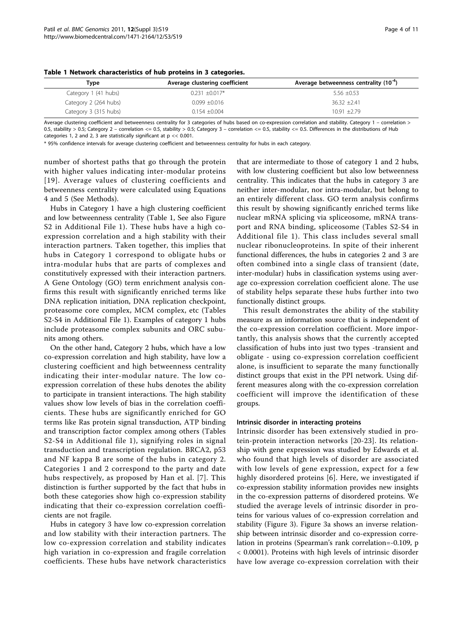| Tvpe                  | Average clustering coefficient | Average betweenness centrality (10 <sup>-4</sup> ) |
|-----------------------|--------------------------------|----------------------------------------------------|
| Category 1 (41 hubs)  | $0.231 + 0.017*$               | $5.56 + 0.53$                                      |
| Category 2 (264 hubs) | $0.099 \pm 0.016$              | $36.32 + 2.41$                                     |
| Category 3 (315 hubs) | $0.154 + 0.004$                | $10.91 + 2.79$                                     |

<span id="page-3-0"></span>Table 1 Network characteristics of hub proteins in 3 categories.

Average clustering coefficient and betweenness centrality for 3 categories of hubs based on co-expression correlation and stability. Category 1 - correlation > 0.5, stability > 0.5; Category 2 – correlation <= 0.5, stability > 0.5; Category 3 – correlation <= 0.5, stability <= 0.5. Differences in the distributions of Hub categories 1, 2 and 2, 3 are statistically significant at  $p \ll 0.001$ .

\* 95% confidence intervals for average clustering coefficient and betweenness centrality for hubs in each category.

number of shortest paths that go through the protein with higher values indicating inter-modular proteins [[19](#page-10-0)]. Average values of clustering coefficients and betweenness centrality were calculated using Equations 4 and 5 (See Methods).

Hubs in Category 1 have a high clustering coefficient and low betweenness centrality (Table 1, See also Figure S2 in Additional File [1](#page-9-0)). These hubs have a high coexpression correlation and a high stability with their interaction partners. Taken together, this implies that hubs in Category 1 correspond to obligate hubs or intra-modular hubs that are parts of complexes and constitutively expressed with their interaction partners. A Gene Ontology (GO) term enrichment analysis confirms this result with significantly enriched terms like DNA replication initiation, DNA replication checkpoint, proteasome core complex, MCM complex, etc (Tables S2-S4 in Additional File [1\)](#page-9-0). Examples of category 1 hubs include proteasome complex subunits and ORC subunits among others.

On the other hand, Category 2 hubs, which have a low co-expression correlation and high stability, have low a clustering coefficient and high betweenness centrality indicating their inter-modular nature. The low coexpression correlation of these hubs denotes the ability to participate in transient interactions. The high stability values show low levels of bias in the correlation coefficients. These hubs are significantly enriched for GO terms like Ras protein signal transduction, ATP binding and transcription factor complex among others (Tables S2-S4 in Additional file [1\)](#page-9-0), signifying roles in signal transduction and transcription regulation. BRCA2, p53 and NF kappa B are some of the hubs in category 2. Categories 1 and 2 correspond to the party and date hubs respectively, as proposed by Han et al. [[7](#page-10-0)]. This distinction is further supported by the fact that hubs in both these categories show high co-expression stability indicating that their co-expression correlation coefficients are not fragile.

Hubs in category 3 have low co-expression correlation and low stability with their interaction partners. The low co-expression correlation and stability indicates high variation in co-expression and fragile correlation coefficients. These hubs have network characteristics

that are intermediate to those of category 1 and 2 hubs, with low clustering coefficient but also low betweenness centrality. This indicates that the hubs in category 3 are neither inter-modular, nor intra-modular, but belong to an entirely different class. GO term analysis confirms this result by showing significantly enriched terms like nuclear mRNA splicing via spliceosome, mRNA transport and RNA binding, spliceosome (Tables S2-S4 in Additional file [1\)](#page-9-0). This class includes several small nuclear ribonucleoproteins. In spite of their inherent functional differences, the hubs in categories 2 and 3 are often combined into a single class of transient (date, inter-modular) hubs in classification systems using average co-expression correlation coefficient alone. The use of stability helps separate these hubs further into two functionally distinct groups.

This result demonstrates the ability of the stability measure as an information source that is independent of the co-expression correlation coefficient. More importantly, this analysis shows that the currently accepted classification of hubs into just two types -transient and obligate - using co-expression correlation coefficient alone, is insufficient to separate the many functionally distinct groups that exist in the PPI network. Using different measures along with the co-expression correlation coefficient will improve the identification of these groups.

#### Intrinsic disorder in interacting proteins

Intrinsic disorder has been extensively studied in protein-protein interaction networks [[20-23\]](#page-10-0). Its relationship with gene expression was studied by Edwards et al. who found that high levels of disorder are associated with low levels of gene expression, expect for a few highly disordered proteins [[6\]](#page-10-0). Here, we investigated if co-expression stability information provides new insights in the co-expression patterns of disordered proteins. We studied the average levels of intrinsic disorder in proteins for various values of co-expression correlation and stability (Figure [3\)](#page-4-0). Figure [3a](#page-4-0) shows an inverse relationship between intrinsic disorder and co-expression correlation in proteins (Spearman's rank correlation=-0.109, p < 0.0001). Proteins with high levels of intrinsic disorder have low average co-expression correlation with their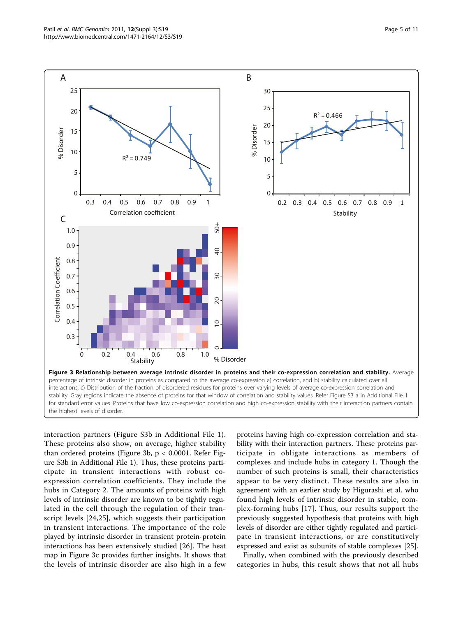<span id="page-4-0"></span>

interaction partners (Figure S3b in Additional File [1\)](#page-9-0). These proteins also show, on average, higher stability than ordered proteins (Figure 3b, p < 0.0001. Refer Figure S3b in Additional File [1](#page-9-0)). Thus, these proteins participate in transient interactions with robust coexpression correlation coefficients. They include the hubs in Category 2. The amounts of proteins with high levels of intrinsic disorder are known to be tightly regulated in the cell through the regulation of their transcript levels [[24](#page-10-0),[25\]](#page-10-0), which suggests their participation in transient interactions. The importance of the role played by intrinsic disorder in transient protein-protein interactions has been extensively studied [\[26](#page-10-0)]. The heat map in Figure 3c provides further insights. It shows that the levels of intrinsic disorder are also high in a few

proteins having high co-expression correlation and stability with their interaction partners. These proteins participate in obligate interactions as members of complexes and include hubs in category 1. Though the number of such proteins is small, their characteristics appear to be very distinct. These results are also in agreement with an earlier study by Higurashi et al. who found high levels of intrinsic disorder in stable, complex-forming hubs [\[17\]](#page-10-0). Thus, our results support the previously suggested hypothesis that proteins with high levels of disorder are either tightly regulated and participate in transient interactions, or are constitutively expressed and exist as subunits of stable complexes [\[25\]](#page-10-0).

Finally, when combined with the previously described categories in hubs, this result shows that not all hubs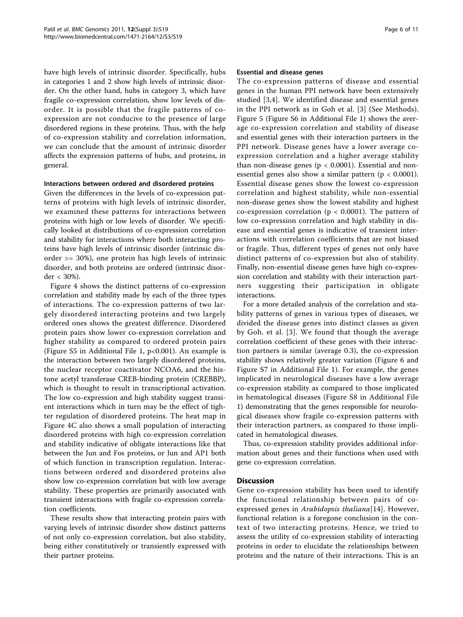have high levels of intrinsic disorder. Specifically, hubs in categories 1 and 2 show high levels of intrinsic disorder. On the other hand, hubs in category 3, which have fragile co-expression correlation, show low levels of disorder. It is possible that the fragile patterns of coexpression are not conducive to the presence of large disordered regions in these proteins. Thus, with the help of co-expression stability and correlation information, we can conclude that the amount of intrinsic disorder affects the expression patterns of hubs, and proteins, in general.

#### Interactions between ordered and disordered proteins

Given the differences in the levels of co-expression patterns of proteins with high levels of intrinsic disorder, we examined these patterns for interactions between proteins with high or low levels of disorder. We specifically looked at distributions of co-expression correlation and stability for interactions where both interacting proteins have high levels of intrinsic disorder (intrinsic disorder >= 30%), one protein has high levels of intrinsic disorder, and both proteins are ordered (intrinsic disorder  $< 30\%$ ).

Figure [4](#page-6-0) shows the distinct patterns of co-expression correlation and stability made by each of the three types of interactions. The co-expression patterns of two largely disordered interacting proteins and two largely ordered ones shows the greatest difference. Disordered protein pairs show lower co-expression correlation and higher stability as compared to ordered protein pairs (Figure S5 in Additional File [1,](#page-9-0) p<0.001). An example is the interaction between two largely disordered proteins, the nuclear receptor coactivator NCOA6, and the histone acetyl transferase CREB-binding protein (CREBBP), which is thought to result in transcriptional activation. The low co-expression and high stability suggest transient interactions which in turn may be the effect of tighter regulation of disordered proteins. The heat map in Figure [4C](#page-6-0) also shows a small population of interacting disordered proteins with high co-expression correlation and stability indicative of obligate interactions like that between the Jun and Fos proteins, or Jun and AP1 both of which function in transcription regulation. Interactions between ordered and disordered proteins also show low co-expression correlation but with low average stability. These properties are primarily associated with transient interactions with fragile co-expression correlation coefficients.

These results show that interacting protein pairs with varying levels of intrinsic disorder show distinct patterns of not only co-expression correlation, but also stability, being either constitutively or transiently expressed with their partner proteins.

#### Essential and disease genes

The co-expression patterns of disease and essential genes in the human PPI network have been extensively studied [[3,4](#page-10-0)]. We identified disease and essential genes in the PPI network as in Goh et al. [[3\]](#page-10-0) (See Methods). Figure [5](#page-7-0) (Figure S6 in Additional File [1](#page-9-0)) shows the average co-expression correlation and stability of disease and essential genes with their interaction partners in the PPI network. Disease genes have a lower average coexpression correlation and a higher average stability than non-disease genes ( $p < 0.0001$ ). Essential and nonessential genes also show a similar pattern ( $p < 0.0001$ ). Essential disease genes show the lowest co-expression correlation and highest stability, while non-essential non-disease genes show the lowest stability and highest co-expression correlation ( $p < 0.0001$ ). The pattern of low co-expression correlation and high stability in disease and essential genes is indicative of transient interactions with correlation coefficients that are not biased or fragile. Thus, different types of genes not only have distinct patterns of co-expression but also of stability. Finally, non-essential disease genes have high co-expression correlation and stability with their interaction partners suggesting their participation in obligate interactions.

For a more detailed analysis of the correlation and stability patterns of genes in various types of diseases, we divided the disease genes into distinct classes as given by Goh. et al. [[3](#page-10-0)]. We found that though the average correlation coefficient of these genes with their interaction partners is similar (average 0.3), the co-expression stability shows relatively greater variation (Figure [6](#page-7-0) and Figure S7 in Additional File [1](#page-9-0)). For example, the genes implicated in neurological diseases have a low average co-expression stability as compared to those implicated in hematological diseases (Figure S8 in Additional File [1\)](#page-9-0) demonstrating that the genes responsible for neurological diseases show fragile co-expression patterns with their interaction partners, as compared to those implicated in hematological diseases.

Thus, co-expression stability provides additional information about genes and their functions when used with gene co-expression correlation.

#### **Discussion**

Gene co-expression stability has been used to identify the functional relationship between pairs of coexpressed genes in Arabidopsis thaliana[14]. However, functional relation is a foregone conclusion in the context of two interacting proteins. Hence, we tried to assess the utility of co-expression stability of interacting proteins in order to elucidate the relationships between proteins and the nature of their interactions. This is an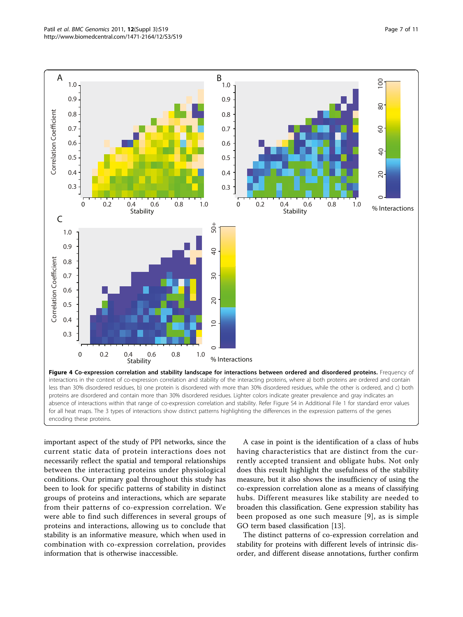<span id="page-6-0"></span>

important aspect of the study of PPI networks, since the current static data of protein interactions does not necessarily reflect the spatial and temporal relationships between the interacting proteins under physiological conditions. Our primary goal throughout this study has been to look for specific patterns of stability in distinct groups of proteins and interactions, which are separate from their patterns of co-expression correlation. We were able to find such differences in several groups of proteins and interactions, allowing us to conclude that stability is an informative measure, which when used in combination with co-expression correlation, provides information that is otherwise inaccessible.

A case in point is the identification of a class of hubs having characteristics that are distinct from the currently accepted transient and obligate hubs. Not only does this result highlight the usefulness of the stability measure, but it also shows the insufficiency of using the co-expression correlation alone as a means of classifying hubs. Different measures like stability are needed to broaden this classification. Gene expression stability has been proposed as one such measure [[9\]](#page-10-0), as is simple GO term based classification [[13](#page-10-0)].

The distinct patterns of co-expression correlation and stability for proteins with different levels of intrinsic disorder, and different disease annotations, further confirm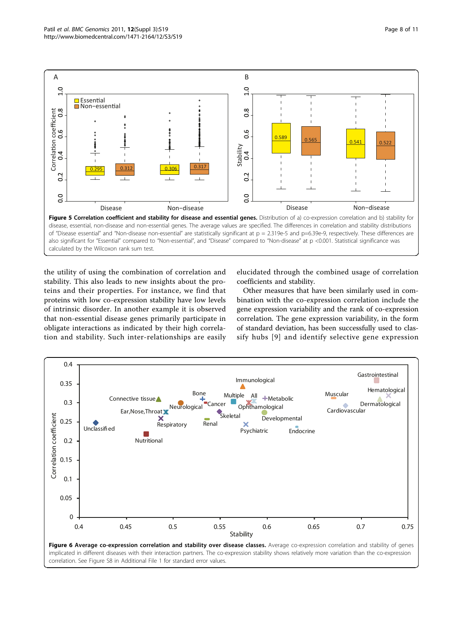<span id="page-7-0"></span>

the utility of using the combination of correlation and stability. This also leads to new insights about the proteins and their properties. For instance, we find that proteins with low co-expression stability have low levels of intrinsic disorder. In another example it is observed that non-essential disease genes primarily participate in obligate interactions as indicated by their high correlation and stability. Such inter-relationships are easily elucidated through the combined usage of correlation coefficients and stability.

Other measures that have been similarly used in combination with the co-expression correlation include the gene expression variability and the rank of co-expression correlation. The gene expression variability, in the form of standard deviation, has been successfully used to clas-

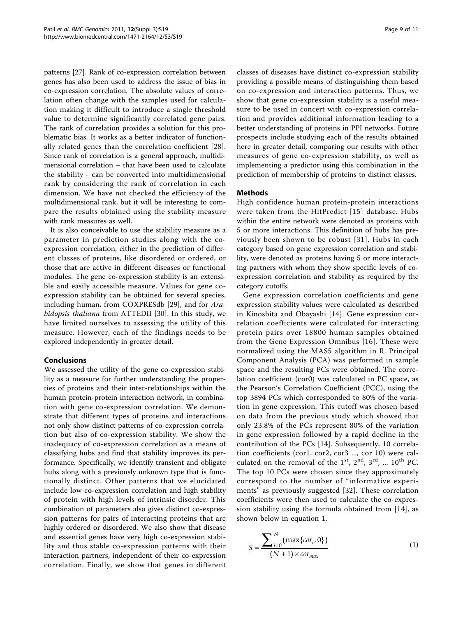patterns [\[27](#page-10-0)]. Rank of co-expression correlation between genes has also been used to address the issue of bias in co-expression correlation. The absolute values of correlation often change with the samples used for calculation making it difficult to introduce a single threshold value to determine significantly correlated gene pairs. The rank of correlation provides a solution for this problematic bias. It works as a better indicator of functionally related genes than the correlation coefficient [[28](#page-10-0)]. Since rank of correlation is a general approach, multidimensional correlation – that have been used to calculate the stability - can be converted into multidimensional rank by considering the rank of correlation in each dimension. We have not checked the efficiency of the multidimensional rank, but it will be interesting to compare the results obtained using the stability measure with rank measures as well.

It is also conceivable to use the stability measure as a parameter in prediction studies along with the coexpression correlation, either in the prediction of different classes of proteins, like disordered or ordered, or those that are active in different diseases or functional modules. The gene co-expression stability is an extensible and easily accessible measure. Values for gene coexpression stability can be obtained for several species, including human, from COXPRESdb [\[29](#page-10-0)], and for Arabidopsis thaliana from ATTEDII [[30\]](#page-10-0). In this study, we have limited ourselves to assessing the utility of this measure. However, each of the findings needs to be explored independently in greater detail.

## Conclusions

We assessed the utility of the gene co-expression stability as a measure for further understanding the properties of proteins and their inter-relationships within the human protein-protein interaction network, in combination with gene co-expression correlation. We demonstrate that different types of proteins and interactions not only show distinct patterns of co-expression correlation but also of co-expression stability. We show the inadequacy of co-expression correlation as a means of classifying hubs and find that stability improves its performance. Specifically, we identify transient and obligate hubs along with a previously unknown type that is functionally distinct. Other patterns that we elucidated include low co-expression correlation and high stability of protein with high levels of intrinsic disorder. This combination of parameters also gives distinct co-expression patterns for pairs of interacting proteins that are highly ordered or disordered. We also show that disease and essential genes have very high co-expression stability and thus stable co-expression patterns with their interaction partners, independent of their co-expression correlation. Finally, we show that genes in different classes of diseases have distinct co-expression stability providing a possible means of distinguishing them based on co-expression and interaction patterns. Thus, we show that gene co-expression stability is a useful measure to be used in concert with co-expression correlation and provides additional information leading to a better understanding of proteins in PPI networks. Future prospects include studying each of the results obtained here in greater detail, comparing our results with other measures of gene co-expression stability, as well as implementing a predictor using this combination in the prediction of membership of proteins to distinct classes.

## Methods

High confidence human protein-protein interactions were taken from the HitPredict [[15](#page-10-0)] database. Hubs within the entire network were denoted as proteins with 5 or more interactions. This definition of hubs has previously been shown to be robust [[31\]](#page-10-0). Hubs in each category based on gene expression correlation and stability, were denoted as proteins having 5 or more interacting partners with whom they show specific levels of coexpression correlation and stability as required by the category cutoffs.

Gene expression correlation coefficients and gene expression stability values were calculated as described in Kinoshita and Obayashi [[14\]](#page-10-0). Gene expression correlation coefficients were calculated for interacting protein pairs over 18800 human samples obtained from the Gene Expression Omnibus [[16\]](#page-10-0). These were normalized using the MAS5 algorithm in R. Principal Component Analysis (PCA) was performed in sample space and the resulting PCs were obtained. The correlation coefficient (cor0) was calculated in PC space, as the Pearson's Correlation Coefficient (PCC), using the top 3894 PCs which corresponded to 80% of the variation in gene expression. This cutoff was chosen based on data from the previous study which showed that only 23.8% of the PCs represent 80% of the variation in gene expression followed by a rapid decline in the contribution of the PCs [[14](#page-10-0)]. Subsequently, 10 correlation coefficients (cor1, cor2, cor3 ..., cor 10) were calculated on the removal of the  $1^{st}$ ,  $2^{nd}$ ,  $3^{rd}$ , ...  $10^{th}$  PC. The top 10 PCs were chosen since they approximately correspond to the number of "informative experiments" as previously suggested [\[32](#page-10-0)]. These correlation coefficients were then used to calculate the co-expression stability using the formula obtained from [[14](#page-10-0)], as shown below in equation 1.

$$
S = \frac{\sum_{i=0}^{N} (\max\{cor_i, 0\})}{(N+1) \times cor_{max}} \tag{1}
$$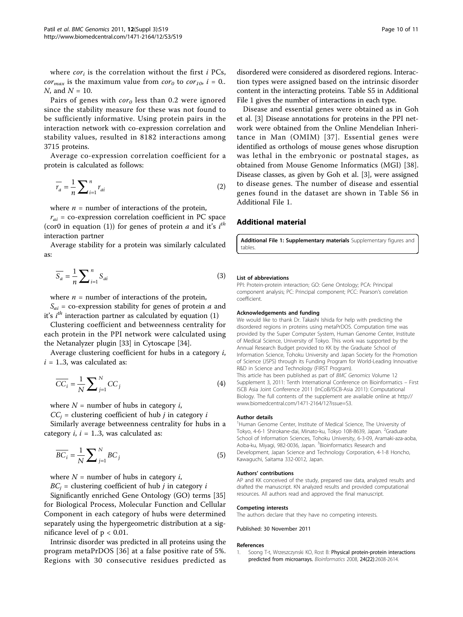<span id="page-9-0"></span>where  $cor<sub>i</sub>$  is the correlation without the first i PCs, *cor<sub>max</sub>* is the maximum value from *cor<sub>0</sub>* to *cor<sub>10</sub>*,  $i = 0$ .  $N$ , and  $N = 10$ .

Pairs of genes with  $cor_0$  less than 0.2 were ignored since the stability measure for these was not found to be sufficiently informative. Using protein pairs in the interaction network with co-expression correlation and stability values, resulted in 8182 interactions among 3715 proteins.

Average co-expression correlation coefficient for a protein is calculated as follows:

$$
\overline{r_a} = \frac{1}{n} \sum_{i=1}^n r_{ai} \tag{2}
$$

where  $n =$  number of interactions of the protein,

 $r_{ai}$  = co-expression correlation coefficient in PC space (cor0 in equation (1)) for genes of protein  $\alpha$  and it's  $i^{th}$ interaction partner

Average stability for a protein was similarly calculated as:

$$
\overline{S_a} = \frac{1}{n} \sum_{i=1}^{n} S_{ai}
$$
 (3)

where  $n =$  number of interactions of the protein,

 $S_{ai}$  = co-expression stability for genes of protein *a* and it's  $i^{th}$  interaction partner as calculated by equation (1)

Clustering coefficient and betweenness centrality for each protein in the PPI network were calculated using the Netanalyzer plugin [\[33](#page-10-0)] in Cytoscape [\[34](#page-10-0)].

Average clustering coefficient for hubs in a category i,  $i = 1..3$ , was calculated as:

$$
\overline{CC}_i = \frac{1}{N} \sum_{j=1}^{N} CC_j
$$
 (4)

where  $N =$  number of hubs in category *i*,

 $CC_i$  = clustering coefficient of hub *j* in category *i* Similarly average betweenness centrality for hubs in a

category  $i$ ,  $i = 1..3$ , was calculated as:

$$
\overline{BC_i} = \frac{1}{N} \sum_{j=1}^{N} BC_j
$$
 (5)

where  $N =$  number of hubs in category *i*,

 $BC_i$  = clustering coefficient of hub *j* in category *i* 

Significantly enriched Gene Ontology (GO) terms [[35](#page-10-0)] for Biological Process, Molecular Function and Cellular Component in each category of hubs were determined separately using the hypergeometric distribution at a significance level of p < 0.01.

Intrinsic disorder was predicted in all proteins using the program metaPrDOS [[36](#page-10-0)] at a false positive rate of 5%. Regions with 30 consecutive residues predicted as disordered were considered as disordered regions. Interaction types were assigned based on the intrinsic disorder content in the interacting proteins. Table S5 in Additional File 1 gives the number of interactions in each type.

Disease and essential genes were obtained as in Goh et al. [[3\]](#page-10-0) Disease annotations for proteins in the PPI network were obtained from the Online Mendelian Inheritance in Man (OMIM) [[37](#page-10-0)]. Essential genes were identified as orthologs of mouse genes whose disruption was lethal in the embryonic or postnatal stages, as obtained from Mouse Genome Informatics (MGI) [[38](#page-10-0)]. Disease classes, as given by Goh et al. [\[3\]](#page-10-0), were assigned to disease genes. The number of disease and essential genes found in the dataset are shown in Table S6 in Additional File 1.

## Additional material

[Additional File 1: S](http://www.biomedcentral.com/content/supplementary/1471-2164-12-S3-S19-S1.pdf)upplementary materials Supplementary figures and tables.

#### List of abbreviations

PPI: Protein-protein interaction; GO: Gene Ontology; PCA: Principal component analysis; PC: Principal component; PCC: Pearson's correlation coefficient.

#### Acknowledgements and funding

We would like to thank Dr. Takashi Ishida for help with predicting the disordered regions in proteins using metaPrDOS. Computation time was provided by the Super Computer System, Human Genome Center, Institute of Medical Science, University of Tokyo. This work was supported by the Annual Research Budget provided to KK by the Graduate School of Information Science, Tohoku University and Japan Society for the Promotion of Science (JSPS) through its Funding Program for World-Leading Innovative R&D in Science and Technology (FIRST Program). This article has been published as part of BMC Genomics Volume 12 Supplement 3, 2011: Tenth International Conference on Bioinformatics – First ISCB Asia Joint Conference 2011 (InCoB/ISCB-Asia 2011): Computational Biology. The full contents of the supplement are available online at [http://](http://www.biomedcentral.com/1471-2164/12?issue=S3) [www.biomedcentral.com/1471-2164/12?issue=S3](http://www.biomedcentral.com/1471-2164/12?issue=S3).

#### Author details

<sup>1</sup>Human Genome Center, Institute of Medical Science, The University of Tokyo, 4-6-1 Shirokane-dai, Minato-ku, Tokyo 108-8639, Japan. <sup>2</sup>Graduate School of Information Sciences, Tohoku University, 6-3-09, Aramaki-aza-aoba, Aoba-ku, Miyagi, 982-0036, Japan. <sup>3</sup> Bioinformatics Research and Development, Japan Science and Technology Corporation, 4-1-8 Honcho, Kawaguchi, Saitama 332-0012, Japan.

#### Authors' contributions

AP and KK conceived of the study, prepared raw data, analyzed results and drafted the manuscript. KN analyzed results and provided computational resources. All authors read and approved the final manuscript.

#### Competing interests

The authors declare that they have no competing interests.

Published: 30 November 2011

#### References

1. Soong T-t, Wrzeszczynski KO, Rost B: [Physical protein-protein interactions](http://www.ncbi.nlm.nih.gov/pubmed/18829707?dopt=Abstract) [predicted from microarrays.](http://www.ncbi.nlm.nih.gov/pubmed/18829707?dopt=Abstract) Bioinformatics 2008, 24(22):2608-2614.